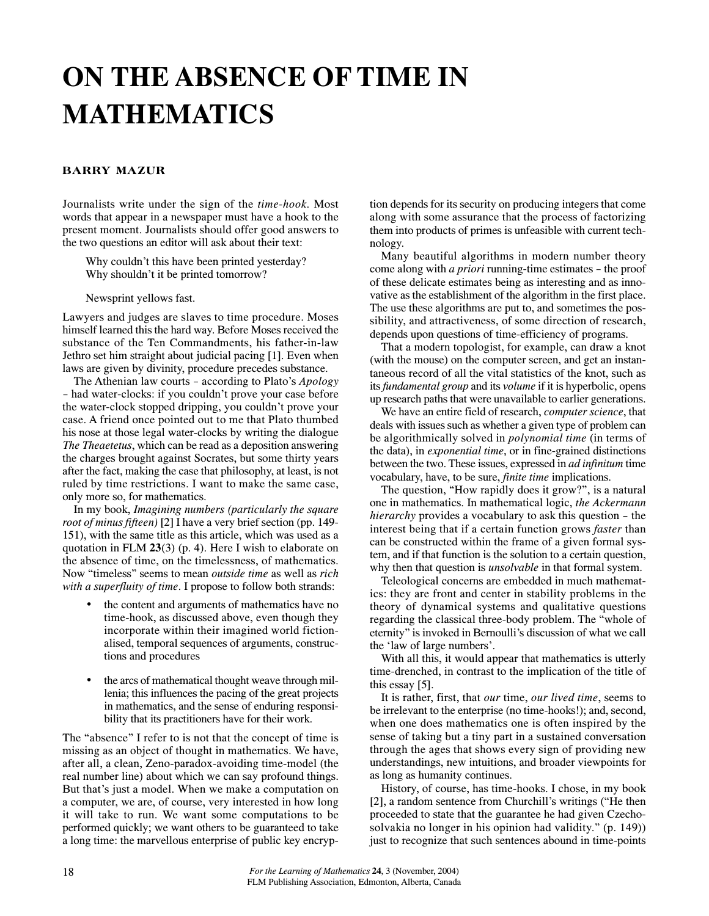# **ON THE ABSENCE OF TIME IN MATHEMATICS**

## **BARRY MAZUR**

Journalists write under the sign of the *time-hook*. Most words that appear in a newspaper must have a hook to the present moment. Journalists should offer good answers to the two questions an editor will ask about their text:

Why couldn't this have been printed yesterday? Why shouldn't it be printed tomorrow?

Newsprint yellows fast.

Lawyers and judges are slaves to time procedure. Moses himself learned this the hard way. Before Moses received the substance of the Ten Commandments, his father-in-law Jethro set him straight about judicial pacing [1]. Even when laws are given by divinity, procedure precedes substance.

The Athenian law courts – according to Plato's *Apology* – had water-clocks: if you couldn't prove your case before the water-clock stopped dripping, you couldn't prove your case. A friend once pointed out to me that Plato thumbed his nose at those legal water-clocks by writing the dialogue *The Theaetetus*, which can be read as a deposition answering the charges brought against Socrates, but some thirty years after the fact, making the case that philosophy, at least, is not ruled by time restrictions. I want to make the same case, only more so, for mathematics.

In my book, *Imagining numbers (particularly the square root of minus fifteen)* [2] I have a very brief section (pp. 149- 151), with the same title as this article, which was used as a quotation in FLM **23**(3) (p. 4). Here I wish to elaborate on the absence of time, on the timelessness, of mathematics. Now "timeless" seems to mean *outside time* as well as *rich with a superfluity of time*. I propose to follow both strands:

- the content and arguments of mathematics have no time-hook, as discussed above, even though they incorporate within their imagined world fictionalised, temporal sequences of arguments, constructions and procedures
- the arcs of mathematical thought weave through millenia; this influences the pacing of the great projects in mathematics, and the sense of enduring responsibility that its practitioners have for their work.

The "absence" I refer to is not that the concept of time is missing as an object of thought in mathematics. We have, after all, a clean, Zeno-paradox-avoiding time-model (the real number line) about which we can say profound things. But that's just a model. When we make a computation on a computer, we are, of course, very interested in how long it will take to run. We want some computations to be performed quickly; we want others to be guaranteed to take a long time: the marvellous enterprise of public key encryption depends for its security on producing integers that come along with some assurance that the process of factorizing them into products of primes is unfeasible with current technology.

Many beautiful algorithms in modern number theory come along with *a priori* running-time estimates – the proof of these delicate estimates being as interesting and as innovative as the establishment of the algorithm in the first place. The use these algorithms are put to, and sometimes the possibility, and attractiveness, of some direction of research, depends upon questions of time-efficiency of programs.

That a modern topologist, for example, can draw a knot (with the mouse) on the computer screen, and get an instantaneous record of all the vital statistics of the knot, such as its *fundamental group* and its *volume* if it is hyperbolic, opens up research paths that were unavailable to earlier generations.

We have an entire field of research, *computer science*, that deals with issues such as whether a given type of problem can be algorithmically solved in *polynomial time* (in terms of the data), in *exponential time*, or in fine-grained distinctions between the two. These issues, expressed in *ad infinitum* time vocabulary, have, to be sure, *finite time* implications.

The question, "How rapidly does it grow?", is a natural one in mathematics. In mathematical logic, *the Ackermann hierarchy* provides a vocabulary to ask this question – the interest being that if a certain function grows *faster* than can be constructed within the frame of a given formal system, and if that function is the solution to a certain question, why then that question is *unsolvable* in that formal system.

Teleological concerns are embedded in much mathematics: they are front and center in stability problems in the theory of dynamical systems and qualitative questions regarding the classical three-body problem. The "whole of eternity" is invoked in Bernoulli's discussion of what we call the 'law of large numbers'.

With all this, it would appear that mathematics is utterly time-drenched, in contrast to the implication of the title of this essay [5].

It is rather, first, that *our* time, *our lived time*, seems to be irrelevant to the enterprise (no time-hooks!); and, second, when one does mathematics one is often inspired by the sense of taking but a tiny part in a sustained conversation through the ages that shows every sign of providing new understandings, new intuitions, and broader viewpoints for as long as humanity continues.

History, of course, has time-hooks. I chose, in my book [2], a random sentence from Churchill's writings ("He then proceeded to state that the guarantee he had given Czechosolvakia no longer in his opinion had validity." (p. 149)) just to recognize that such sentences abound in time-points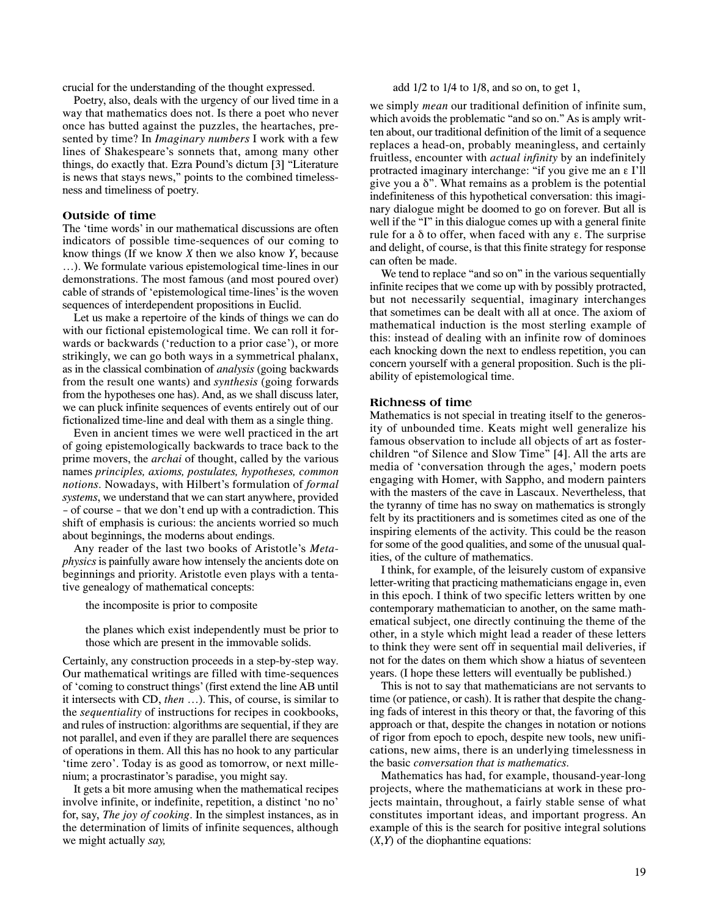crucial for the understanding of the thought expressed.

Poetry, also, deals with the urgency of our lived time in a way that mathematics does not. Is there a poet who never once has butted against the puzzles, the heartaches, presented by time? In *Imaginary numbers* I work with a few lines of Shakespeare's sonnets that, among many other things, do exactly that. Ezra Pound's dictum [3] "Literature is news that stays news," points to the combined timelessness and timeliness of poetry.

#### **Outside of time**

The 'time words' in our mathematical discussions are often indicators of possible time-sequences of our coming to know things (If we know *X* then we also know *Y*, because …). We formulate various epistemological time-lines in our demonstrations. The most famous (and most poured over) cable of strands of 'epistemological time-lines'is the woven sequences of interdependent propositions in Euclid.

Let us make a repertoire of the kinds of things we can do with our fictional epistemological time. We can roll it forwards or backwards ('reduction to a prior case'), or more strikingly, we can go both ways in a symmetrical phalanx, as in the classical combination of *analysis* (going backwards from the result one wants) and *synthesis* (going forwards from the hypotheses one has). And, as we shall discuss later, we can pluck infinite sequences of events entirely out of our fictionalized time-line and deal with them as a single thing.

Even in ancient times we were well practiced in the art of going epistemologically backwards to trace back to the prime movers, the *archai* of thought, called by the various names *principles, axioms, postulates, hypotheses, common notions*. Nowadays, with Hilbert's formulation of *formal systems*, we understand that we can start anywhere, provided – of course – that we don't end up with a contradiction. This shift of emphasis is curious: the ancients worried so much about beginnings, the moderns about endings.

Any reader of the last two books of Aristotle's *Metaphysics* is painfully aware how intensely the ancients dote on beginnings and priority. Aristotle even plays with a tentative genealogy of mathematical concepts:

the incomposite is prior to composite

the planes which exist independently must be prior to those which are present in the immovable solids.

Certainly, any construction proceeds in a step-by-step way. Our mathematical writings are filled with time-sequences of 'coming to construct things'(first extend the line AB until it intersects with CD, *then* …). This, of course, is similar to the *sequentiality* of instructions for recipes in cookbooks, and rules of instruction: algorithms are sequential, if they are not parallel, and even if they are parallel there are sequences of operations in them. All this has no hook to any particular 'time zero'. Today is as good as tomorrow, or next millenium; a procrastinator's paradise, you might say.

It gets a bit more amusing when the mathematical recipes involve infinite, or indefinite, repetition, a distinct 'no no' for, say, *The joy of cooking*. In the simplest instances, as in the determination of limits of infinite sequences, although we might actually *say,*

#### add  $1/2$  to  $1/4$  to  $1/8$ , and so on, to get 1,

we simply *mean* our traditional definition of infinite sum, which avoids the problematic "and so on." As is amply written about, our traditional definition of the limit of a sequence replaces a head-on, probably meaningless, and certainly fruitless, encounter with *actual infinity* by an indefinitely protracted imaginary interchange: "if you give me an ε I'll give you a δ". What remains as a problem is the potential indefiniteness of this hypothetical conversation: this imaginary dialogue might be doomed to go on forever. But all is well if the "I" in this dialogue comes up with a general finite rule for a δ to offer, when faced with any ε. The surprise and delight, of course, is that this finite strategy for response can often be made.

We tend to replace "and so on" in the various sequentially infinite recipes that we come up with by possibly protracted, but not necessarily sequential, imaginary interchanges that sometimes can be dealt with all at once. The axiom of mathematical induction is the most sterling example of this: instead of dealing with an infinite row of dominoes each knocking down the next to endless repetition, you can concern yourself with a general proposition. Such is the pliability of epistemological time.

#### **Richness of time**

Mathematics is not special in treating itself to the generosity of unbounded time. Keats might well generalize his famous observation to include all objects of art as fosterchildren "of Silence and Slow Time" [4]. All the arts are media of 'conversation through the ages,' modern poets engaging with Homer, with Sappho, and modern painters with the masters of the cave in Lascaux. Nevertheless, that the tyranny of time has no sway on mathematics is strongly felt by its practitioners and is sometimes cited as one of the inspiring elements of the activity. This could be the reason for some of the good qualities, and some of the unusual qualities, of the culture of mathematics.

I think, for example, of the leisurely custom of expansive letter-writing that practicing mathematicians engage in, even in this epoch. I think of two specific letters written by one contemporary mathematician to another, on the same mathematical subject, one directly continuing the theme of the other, in a style which might lead a reader of these letters to think they were sent off in sequential mail deliveries, if not for the dates on them which show a hiatus of seventeen years. (I hope these letters will eventually be published.)

This is not to say that mathematicians are not servants to time (or patience, or cash). It is rather that despite the changing fads of interest in this theory or that, the favoring of this approach or that, despite the changes in notation or notions of rigor from epoch to epoch, despite new tools, new unifications, new aims, there is an underlying timelessness in the basic *conversation that is mathematics*.

Mathematics has had, for example, thousand-year-long projects, where the mathematicians at work in these projects maintain, throughout, a fairly stable sense of what constitutes important ideas, and important progress. An example of this is the search for positive integral solutions (*X*,*Y*) of the diophantine equations: